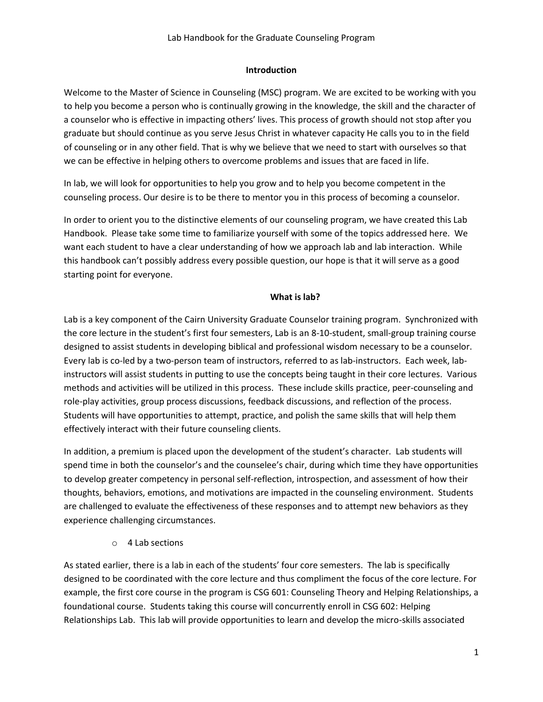#### **Introduction**

Welcome to the Master of Science in Counseling (MSC) program. We are excited to be working with you to help you become a person who is continually growing in the knowledge, the skill and the character of a counselor who is effective in impacting others' lives. This process of growth should not stop after you graduate but should continue as you serve Jesus Christ in whatever capacity He calls you to in the field of counseling or in any other field. That is why we believe that we need to start with ourselves so that we can be effective in helping others to overcome problems and issues that are faced in life.

In lab, we will look for opportunities to help you grow and to help you become competent in the counseling process. Our desire is to be there to mentor you in this process of becoming a counselor.

In order to orient you to the distinctive elements of our counseling program, we have created this Lab Handbook. Please take some time to familiarize yourself with some of the topics addressed here. We want each student to have a clear understanding of how we approach lab and lab interaction. While this handbook can't possibly address every possible question, our hope is that it will serve as a good starting point for everyone.

#### **What is lab?**

Lab is a key component of the Cairn University Graduate Counselor training program. Synchronized with the core lecture in the student's first four semesters, Lab is an 8-10-student, small-group training course designed to assist students in developing biblical and professional wisdom necessary to be a counselor. Every lab is co-led by a two-person team of instructors, referred to as lab-instructors. Each week, labinstructors will assist students in putting to use the concepts being taught in their core lectures. Various methods and activities will be utilized in this process. These include skills practice, peer-counseling and role-play activities, group process discussions, feedback discussions, and reflection of the process. Students will have opportunities to attempt, practice, and polish the same skills that will help them effectively interact with their future counseling clients.

In addition, a premium is placed upon the development of the student's character. Lab students will spend time in both the counselor's and the counselee's chair, during which time they have opportunities to develop greater competency in personal self-reflection, introspection, and assessment of how their thoughts, behaviors, emotions, and motivations are impacted in the counseling environment. Students are challenged to evaluate the effectiveness of these responses and to attempt new behaviors as they experience challenging circumstances.

o 4 Lab sections

As stated earlier, there is a lab in each of the students' four core semesters. The lab is specifically designed to be coordinated with the core lecture and thus compliment the focus of the core lecture. For example, the first core course in the program is CSG 601: Counseling Theory and Helping Relationships, a foundational course. Students taking this course will concurrently enroll in CSG 602: Helping Relationships Lab. This lab will provide opportunities to learn and develop the micro-skills associated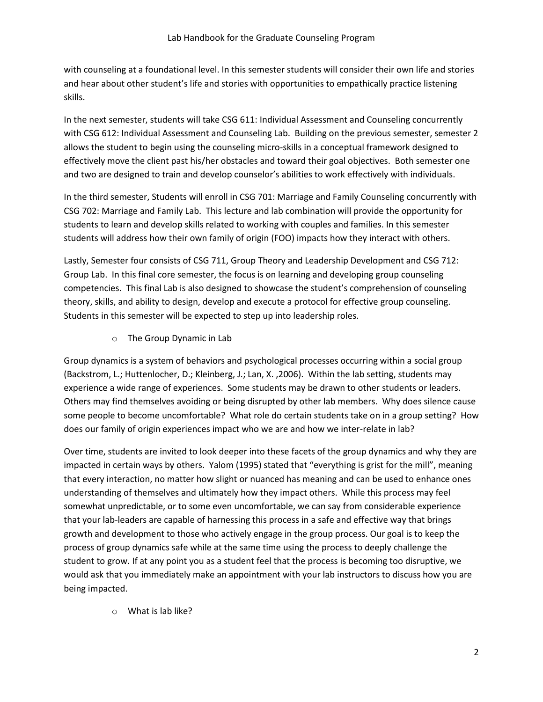with counseling at a foundational level. In this semester students will consider their own life and stories and hear about other student's life and stories with opportunities to empathically practice listening skills.

In the next semester, students will take CSG 611: Individual Assessment and Counseling concurrently with CSG 612: Individual Assessment and Counseling Lab. Building on the previous semester, semester 2 allows the student to begin using the counseling micro-skills in a conceptual framework designed to effectively move the client past his/her obstacles and toward their goal objectives. Both semester one and two are designed to train and develop counselor's abilities to work effectively with individuals.

In the third semester, Students will enroll in CSG 701: Marriage and Family Counseling concurrently with CSG 702: Marriage and Family Lab. This lecture and lab combination will provide the opportunity for students to learn and develop skills related to working with couples and families. In this semester students will address how their own family of origin (FOO) impacts how they interact with others.

Lastly, Semester four consists of CSG 711, Group Theory and Leadership Development and CSG 712: Group Lab. In this final core semester, the focus is on learning and developing group counseling competencies. This final Lab is also designed to showcase the student's comprehension of counseling theory, skills, and ability to design, develop and execute a protocol for effective group counseling. Students in this semester will be expected to step up into leadership roles.

o The Group Dynamic in Lab

Group dynamics is a system of behaviors and psychological processes occurring within a social group (Backstrom, L.; Huttenlocher, D.; Kleinberg, J.; Lan, X. ,2006). Within the lab setting, students may experience a wide range of experiences. Some students may be drawn to other students or leaders. Others may find themselves avoiding or being disrupted by other lab members. Why does silence cause some people to become uncomfortable? What role do certain students take on in a group setting? How does our family of origin experiences impact who we are and how we inter-relate in lab?

Over time, students are invited to look deeper into these facets of the group dynamics and why they are impacted in certain ways by others. Yalom (1995) stated that "everything is grist for the mill", meaning that every interaction, no matter how slight or nuanced has meaning and can be used to enhance ones understanding of themselves and ultimately how they impact others. While this process may feel somewhat unpredictable, or to some even uncomfortable, we can say from considerable experience that your lab-leaders are capable of harnessing this process in a safe and effective way that brings growth and development to those who actively engage in the group process. Our goal is to keep the process of group dynamics safe while at the same time using the process to deeply challenge the student to grow. If at any point you as a student feel that the process is becoming too disruptive, we would ask that you immediately make an appointment with your lab instructors to discuss how you are being impacted.

o What is lab like?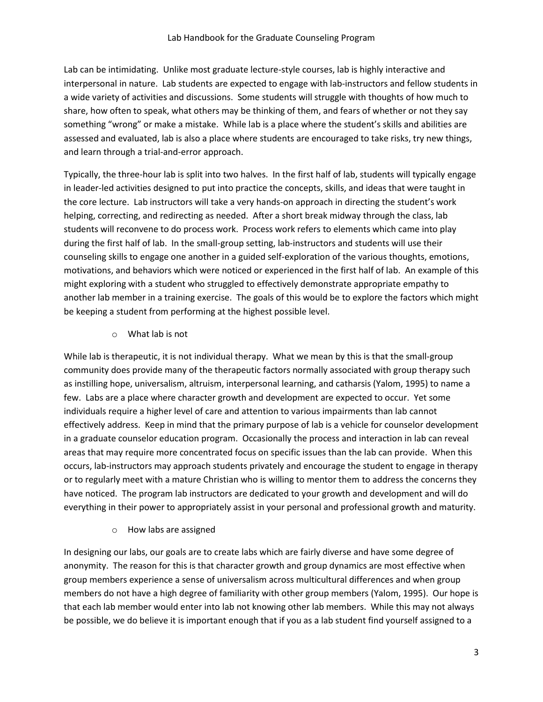Lab can be intimidating. Unlike most graduate lecture-style courses, lab is highly interactive and interpersonal in nature. Lab students are expected to engage with lab-instructors and fellow students in a wide variety of activities and discussions. Some students will struggle with thoughts of how much to share, how often to speak, what others may be thinking of them, and fears of whether or not they say something "wrong" or make a mistake. While lab is a place where the student's skills and abilities are assessed and evaluated, lab is also a place where students are encouraged to take risks, try new things, and learn through a trial-and-error approach.

Typically, the three-hour lab is split into two halves. In the first half of lab, students will typically engage in leader-led activities designed to put into practice the concepts, skills, and ideas that were taught in the core lecture. Lab instructors will take a very hands-on approach in directing the student's work helping, correcting, and redirecting as needed. After a short break midway through the class, lab students will reconvene to do process work. Process work refers to elements which came into play during the first half of lab. In the small-group setting, lab-instructors and students will use their counseling skills to engage one another in a guided self-exploration of the various thoughts, emotions, motivations, and behaviors which were noticed or experienced in the first half of lab. An example of this might exploring with a student who struggled to effectively demonstrate appropriate empathy to another lab member in a training exercise. The goals of this would be to explore the factors which might be keeping a student from performing at the highest possible level.

o What lab is not

While lab is therapeutic, it is not individual therapy. What we mean by this is that the small-group community does provide many of the therapeutic factors normally associated with group therapy such as instilling hope, universalism, altruism, interpersonal learning, and catharsis (Yalom, 1995) to name a few. Labs are a place where character growth and development are expected to occur. Yet some individuals require a higher level of care and attention to various impairments than lab cannot effectively address. Keep in mind that the primary purpose of lab is a vehicle for counselor development in a graduate counselor education program. Occasionally the process and interaction in lab can reveal areas that may require more concentrated focus on specific issues than the lab can provide. When this occurs, lab-instructors may approach students privately and encourage the student to engage in therapy or to regularly meet with a mature Christian who is willing to mentor them to address the concerns they have noticed. The program lab instructors are dedicated to your growth and development and will do everything in their power to appropriately assist in your personal and professional growth and maturity.

o How labs are assigned

In designing our labs, our goals are to create labs which are fairly diverse and have some degree of anonymity. The reason for this is that character growth and group dynamics are most effective when group members experience a sense of universalism across multicultural differences and when group members do not have a high degree of familiarity with other group members (Yalom, 1995). Our hope is that each lab member would enter into lab not knowing other lab members. While this may not always be possible, we do believe it is important enough that if you as a lab student find yourself assigned to a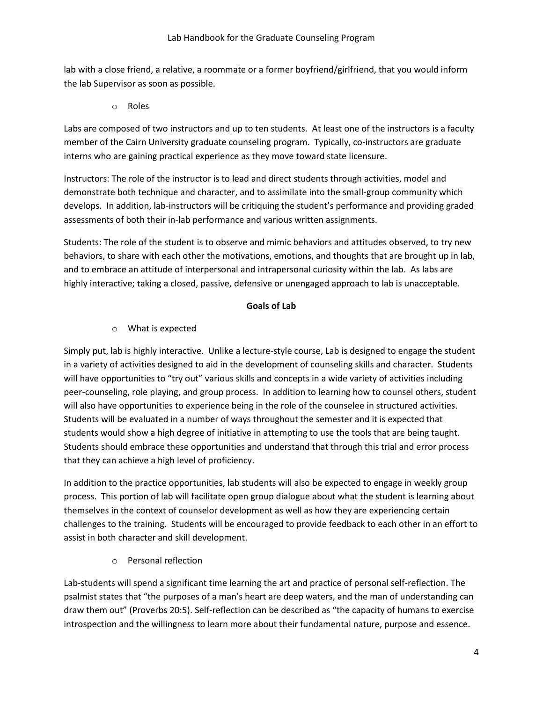lab with a close friend, a relative, a roommate or a former boyfriend/girlfriend, that you would inform the lab Supervisor as soon as possible.

o Roles

Labs are composed of two instructors and up to ten students. At least one of the instructors is a faculty member of the Cairn University graduate counseling program. Typically, co-instructors are graduate interns who are gaining practical experience as they move toward state licensure.

Instructors: The role of the instructor is to lead and direct students through activities, model and demonstrate both technique and character, and to assimilate into the small-group community which develops. In addition, lab-instructors will be critiquing the student's performance and providing graded assessments of both their in-lab performance and various written assignments.

Students: The role of the student is to observe and mimic behaviors and attitudes observed, to try new behaviors, to share with each other the motivations, emotions, and thoughts that are brought up in lab, and to embrace an attitude of interpersonal and intrapersonal curiosity within the lab. As labs are highly interactive; taking a closed, passive, defensive or unengaged approach to lab is unacceptable.

# **Goals of Lab**

# o What is expected

Simply put, lab is highly interactive. Unlike a lecture-style course, Lab is designed to engage the student in a variety of activities designed to aid in the development of counseling skills and character. Students will have opportunities to "try out" various skills and concepts in a wide variety of activities including peer-counseling, role playing, and group process. In addition to learning how to counsel others, student will also have opportunities to experience being in the role of the counselee in structured activities. Students will be evaluated in a number of ways throughout the semester and it is expected that students would show a high degree of initiative in attempting to use the tools that are being taught. Students should embrace these opportunities and understand that through this trial and error process that they can achieve a high level of proficiency.

In addition to the practice opportunities, lab students will also be expected to engage in weekly group process. This portion of lab will facilitate open group dialogue about what the student is learning about themselves in the context of counselor development as well as how they are experiencing certain challenges to the training. Students will be encouraged to provide feedback to each other in an effort to assist in both character and skill development.

o Personal reflection

Lab-students will spend a significant time learning the art and practice of personal self-reflection. The psalmist states that "the purposes of a man's heart are deep waters, and the man of understanding can draw them out" (Proverbs 20:5). Self-reflection can be described as "the capacity of humans to exercise introspection and the willingness to learn more about their fundamental nature, purpose and essence.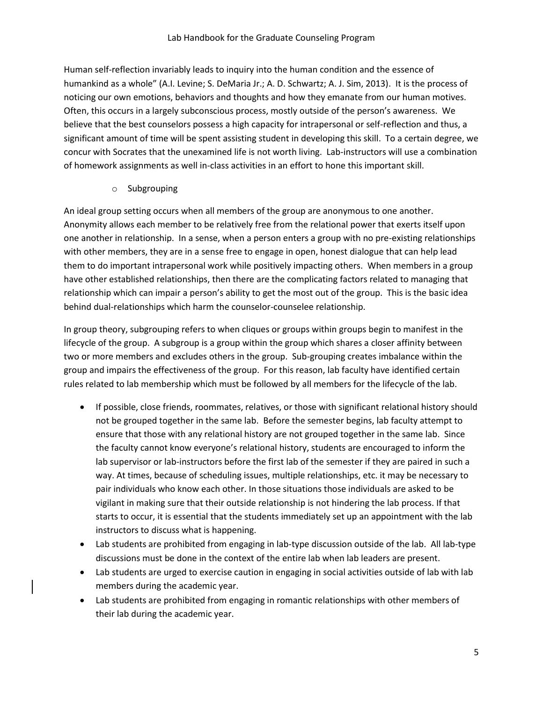Human self-reflection invariably leads to inquiry into the human condition and the essence of humankind as a whole" (A.I. Levine; S. DeMaria Jr.; A. D. Schwartz; A. J. Sim, 2013). It is the process of noticing our own emotions, behaviors and thoughts and how they emanate from our human motives. Often, this occurs in a largely subconscious process, mostly outside of the person's awareness. We believe that the best counselors possess a high capacity for intrapersonal or self-reflection and thus, a significant amount of time will be spent assisting student in developing this skill. To a certain degree, we concur with Socrates that the unexamined life is not worth living. Lab-instructors will use a combination of homework assignments as well in-class activities in an effort to hone this important skill.

#### o Subgrouping

An ideal group setting occurs when all members of the group are anonymous to one another. Anonymity allows each member to be relatively free from the relational power that exerts itself upon one another in relationship. In a sense, when a person enters a group with no pre-existing relationships with other members, they are in a sense free to engage in open, honest dialogue that can help lead them to do important intrapersonal work while positively impacting others. When members in a group have other established relationships, then there are the complicating factors related to managing that relationship which can impair a person's ability to get the most out of the group. This is the basic idea behind dual-relationships which harm the counselor-counselee relationship.

In group theory, subgrouping refers to when cliques or groups within groups begin to manifest in the lifecycle of the group. A subgroup is a group within the group which shares a closer affinity between two or more members and excludes others in the group. Sub-grouping creates imbalance within the group and impairs the effectiveness of the group. For this reason, lab faculty have identified certain rules related to lab membership which must be followed by all members for the lifecycle of the lab.

- If possible, close friends, roommates, relatives, or those with significant relational history should not be grouped together in the same lab. Before the semester begins, lab faculty attempt to ensure that those with any relational history are not grouped together in the same lab. Since the faculty cannot know everyone's relational history, students are encouraged to inform the lab supervisor or lab-instructors before the first lab of the semester if they are paired in such a way. At times, because of scheduling issues, multiple relationships, etc. it may be necessary to pair individuals who know each other. In those situations those individuals are asked to be vigilant in making sure that their outside relationship is not hindering the lab process. If that starts to occur, it is essential that the students immediately set up an appointment with the lab instructors to discuss what is happening.
- Lab students are prohibited from engaging in lab-type discussion outside of the lab. All lab-type discussions must be done in the context of the entire lab when lab leaders are present.
- Lab students are urged to exercise caution in engaging in social activities outside of lab with lab members during the academic year.
- Lab students are prohibited from engaging in romantic relationships with other members of their lab during the academic year.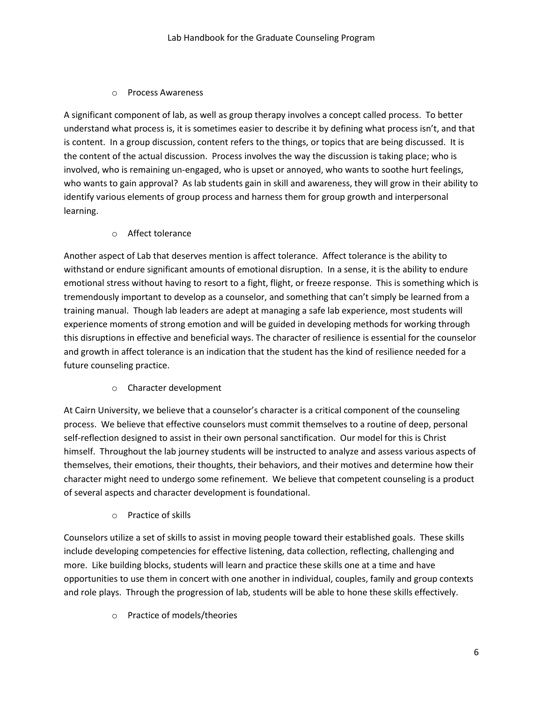#### o Process Awareness

A significant component of lab, as well as group therapy involves a concept called process. To better understand what process is, it is sometimes easier to describe it by defining what process isn't, and that is content. In a group discussion, content refers to the things, or topics that are being discussed. It is the content of the actual discussion. Process involves the way the discussion is taking place; who is involved, who is remaining un-engaged, who is upset or annoyed, who wants to soothe hurt feelings, who wants to gain approval? As lab students gain in skill and awareness, they will grow in their ability to identify various elements of group process and harness them for group growth and interpersonal learning.

o Affect tolerance

Another aspect of Lab that deserves mention is affect tolerance. Affect tolerance is the ability to withstand or endure significant amounts of emotional disruption. In a sense, it is the ability to endure emotional stress without having to resort to a fight, flight, or freeze response. This is something which is tremendously important to develop as a counselor, and something that can't simply be learned from a training manual. Though lab leaders are adept at managing a safe lab experience, most students will experience moments of strong emotion and will be guided in developing methods for working through this disruptions in effective and beneficial ways. The character of resilience is essential for the counselor and growth in affect tolerance is an indication that the student has the kind of resilience needed for a future counseling practice.

o Character development

At Cairn University, we believe that a counselor's character is a critical component of the counseling process. We believe that effective counselors must commit themselves to a routine of deep, personal self-reflection designed to assist in their own personal sanctification. Our model for this is Christ himself. Throughout the lab journey students will be instructed to analyze and assess various aspects of themselves, their emotions, their thoughts, their behaviors, and their motives and determine how their character might need to undergo some refinement. We believe that competent counseling is a product of several aspects and character development is foundational.

o Practice of skills

Counselors utilize a set of skills to assist in moving people toward their established goals. These skills include developing competencies for effective listening, data collection, reflecting, challenging and more. Like building blocks, students will learn and practice these skills one at a time and have opportunities to use them in concert with one another in individual, couples, family and group contexts and role plays. Through the progression of lab, students will be able to hone these skills effectively.

o Practice of models/theories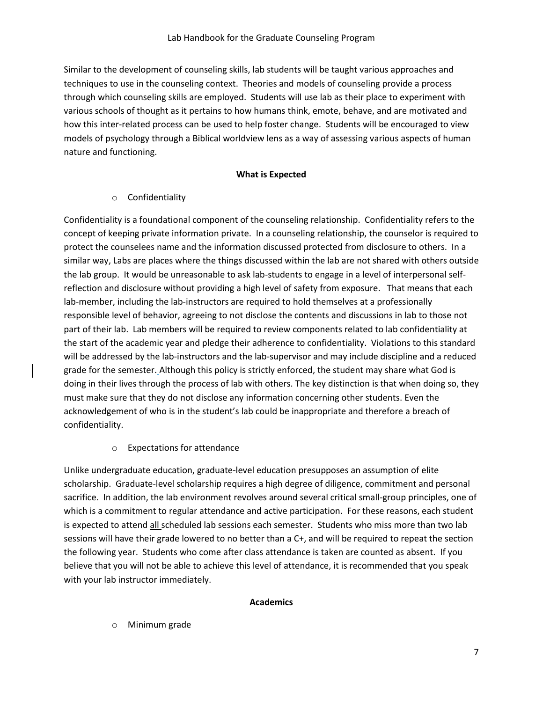Similar to the development of counseling skills, lab students will be taught various approaches and techniques to use in the counseling context. Theories and models of counseling provide a process through which counseling skills are employed. Students will use lab as their place to experiment with various schools of thought as it pertains to how humans think, emote, behave, and are motivated and how this inter-related process can be used to help foster change. Students will be encouraged to view models of psychology through a Biblical worldview lens as a way of assessing various aspects of human nature and functioning.

#### **What is Expected**

o Confidentiality

Confidentiality is a foundational component of the counseling relationship. Confidentiality refers to the concept of keeping private information private. In a counseling relationship, the counselor is required to protect the counselees name and the information discussed protected from disclosure to others. In a similar way, Labs are places where the things discussed within the lab are not shared with others outside the lab group. It would be unreasonable to ask lab-students to engage in a level of interpersonal selfreflection and disclosure without providing a high level of safety from exposure. That means that each lab-member, including the lab-instructors are required to hold themselves at a professionally responsible level of behavior, agreeing to not disclose the contents and discussions in lab to those not part of their lab. Lab members will be required to review components related to lab confidentiality at the start of the academic year and pledge their adherence to confidentiality. Violations to this standard will be addressed by the lab-instructors and the lab-supervisor and may include discipline and a reduced grade for the semester. Although this policy is strictly enforced, the student may share what God is doing in their lives through the process of lab with others. The key distinction is that when doing so, they must make sure that they do not disclose any information concerning other students. Even the acknowledgement of who is in the student's lab could be inappropriate and therefore a breach of confidentiality.

o Expectations for attendance

Unlike undergraduate education, graduate-level education presupposes an assumption of elite scholarship. Graduate-level scholarship requires a high degree of diligence, commitment and personal sacrifice. In addition, the lab environment revolves around several critical small-group principles, one of which is a commitment to regular attendance and active participation. For these reasons, each student is expected to attend all scheduled lab sessions each semester. Students who miss more than two lab sessions will have their grade lowered to no better than a C+, and will be required to repeat the section the following year. Students who come after class attendance is taken are counted as absent. If you believe that you will not be able to achieve this level of attendance, it is recommended that you speak with your lab instructor immediately.

# **Academics**

o Minimum grade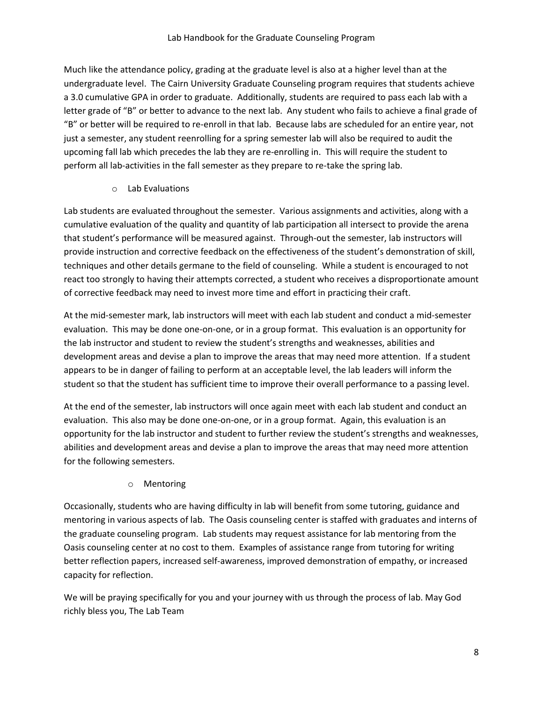Much like the attendance policy, grading at the graduate level is also at a higher level than at the undergraduate level. The Cairn University Graduate Counseling program requires that students achieve a 3.0 cumulative GPA in order to graduate. Additionally, students are required to pass each lab with a letter grade of "B" or better to advance to the next lab. Any student who fails to achieve a final grade of "B" or better will be required to re-enroll in that lab. Because labs are scheduled for an entire year, not just a semester, any student reenrolling for a spring semester lab will also be required to audit the upcoming fall lab which precedes the lab they are re-enrolling in. This will require the student to perform all lab-activities in the fall semester as they prepare to re-take the spring lab.

#### o Lab Evaluations

Lab students are evaluated throughout the semester. Various assignments and activities, along with a cumulative evaluation of the quality and quantity of lab participation all intersect to provide the arena that student's performance will be measured against. Through-out the semester, lab instructors will provide instruction and corrective feedback on the effectiveness of the student's demonstration of skill, techniques and other details germane to the field of counseling. While a student is encouraged to not react too strongly to having their attempts corrected, a student who receives a disproportionate amount of corrective feedback may need to invest more time and effort in practicing their craft.

At the mid-semester mark, lab instructors will meet with each lab student and conduct a mid-semester evaluation. This may be done one-on-one, or in a group format. This evaluation is an opportunity for the lab instructor and student to review the student's strengths and weaknesses, abilities and development areas and devise a plan to improve the areas that may need more attention. If a student appears to be in danger of failing to perform at an acceptable level, the lab leaders will inform the student so that the student has sufficient time to improve their overall performance to a passing level.

At the end of the semester, lab instructors will once again meet with each lab student and conduct an evaluation. This also may be done one-on-one, or in a group format. Again, this evaluation is an opportunity for the lab instructor and student to further review the student's strengths and weaknesses, abilities and development areas and devise a plan to improve the areas that may need more attention for the following semesters.

# o Mentoring

Occasionally, students who are having difficulty in lab will benefit from some tutoring, guidance and mentoring in various aspects of lab. The Oasis counseling center is staffed with graduates and interns of the graduate counseling program. Lab students may request assistance for lab mentoring from the Oasis counseling center at no cost to them. Examples of assistance range from tutoring for writing better reflection papers, increased self-awareness, improved demonstration of empathy, or increased capacity for reflection.

We will be praying specifically for you and your journey with us through the process of lab. May God richly bless you, The Lab Team